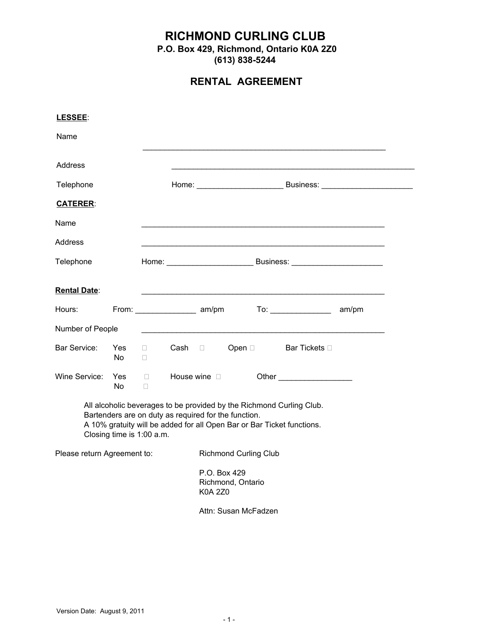## **RICHMOND CURLING CLUB**

**P.O. Box 429, Richmond, Ontario K0A 2Z0**

**(613) 8385244**

## **RENTAL AGREEMENT**

| LESSEE:                     |                                                                                   |                           |  |                                |                      |  |                                                                                                                                                |                 |
|-----------------------------|-----------------------------------------------------------------------------------|---------------------------|--|--------------------------------|----------------------|--|------------------------------------------------------------------------------------------------------------------------------------------------|-----------------|
| Name                        |                                                                                   |                           |  |                                |                      |  |                                                                                                                                                |                 |
| Address                     |                                                                                   |                           |  |                                |                      |  |                                                                                                                                                |                 |
| Telephone                   |                                                                                   |                           |  |                                |                      |  |                                                                                                                                                | Home: Business: |
| <b>CATERER:</b>             |                                                                                   |                           |  |                                |                      |  |                                                                                                                                                |                 |
| Name                        |                                                                                   |                           |  |                                |                      |  |                                                                                                                                                |                 |
| Address                     |                                                                                   |                           |  |                                |                      |  |                                                                                                                                                |                 |
| Telephone                   |                                                                                   | Home: Business: Business: |  |                                |                      |  |                                                                                                                                                |                 |
| <b>Rental Date:</b>         |                                                                                   |                           |  |                                |                      |  |                                                                                                                                                |                 |
| Hours:                      |                                                                                   |                           |  |                                |                      |  |                                                                                                                                                | am/pm           |
| Number of People            |                                                                                   |                           |  |                                |                      |  |                                                                                                                                                |                 |
| Bar Service:                | Yes<br>No.                                                                        | $\Box$<br>$\Box$          |  | Cash □                         |                      |  | Open □ Bar Tickets □                                                                                                                           |                 |
| Wine Service:               | <b>Yes</b><br>No.                                                                 | $\Box$<br>$\Box$          |  | House wine $\square$           |                      |  |                                                                                                                                                |                 |
|                             | Bartenders are on duty as required for the function.<br>Closing time is 1:00 a.m. |                           |  |                                |                      |  | All alcoholic beverages to be provided by the Richmond Curling Club.<br>A 10% gratuity will be added for all Open Bar or Bar Ticket functions. |                 |
| Please return Agreement to: |                                                                                   |                           |  | <b>Richmond Curling Club</b>   |                      |  |                                                                                                                                                |                 |
|                             |                                                                                   |                           |  | P.O. Box 429<br><b>K0A 2Z0</b> | Richmond, Ontario    |  |                                                                                                                                                |                 |
|                             |                                                                                   |                           |  |                                | Attn: Susan McFadzen |  |                                                                                                                                                |                 |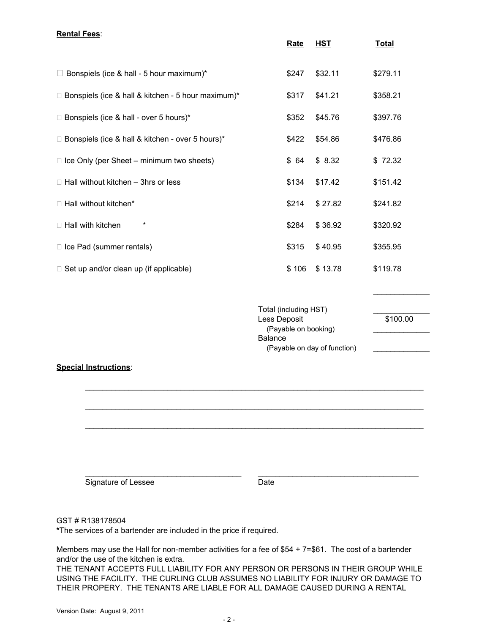## **Rental Fees**: **Rate HST Total**  $\Box$  Bonspiels (ice & hall - 5 hour maximum)\*  $$247$  \$32.11 \$279.11  $\Box$  Bonspiels (ice & hall & kitchen - 5 hour maximum)\*  $$317$  \$41.21 \$358.21  $\Box$  Bonspiels (ice & hall - over 5 hours)\*  $$352$   $$45.76$   $$397.76$  $\Box$  Bonspiels (ice & hall & kitchen - over 5 hours)\*  $$422$   $$54.86$   $$476.86$  $\Box$  Ice Only (per Sheet – minimum two sheets)  $\Box$  \$64  $\Diamond$  8.32  $\Diamond$  72.32  $\Box$  Hall without kitchen – 3hrs or less  $$134$   $$17.42$   $$151.42$  $\Box$  Hall without kitchen\*  $\Box$  Hall without kitchen\*  $\Box$ □ Hall with kitchen \* \* \* \* \* \* \* \* \* \* \* \* \* \$284 \$36.92 \$320.92  $\Box$  Ice Pad (summer rentals)  $$315 \quad $40.95$   $$355.95$  $\Box$  Set up and/or clean up (if applicable)  $\Box$  \$106  $\angle$  \$13.78  $\angle$  \$119.78  $\frac{1}{2}$ Total (including HST) Less Deposit 6100.00 (Payable on booking) **Balance** (Payable on day of function) **Special Instructions**:  $\mathcal{L}_\mathcal{L} = \{ \mathcal{L}_\mathcal{L} = \{ \mathcal{L}_\mathcal{L} = \{ \mathcal{L}_\mathcal{L} = \{ \mathcal{L}_\mathcal{L} = \{ \mathcal{L}_\mathcal{L} = \{ \mathcal{L}_\mathcal{L} = \{ \mathcal{L}_\mathcal{L} = \{ \mathcal{L}_\mathcal{L} = \{ \mathcal{L}_\mathcal{L} = \{ \mathcal{L}_\mathcal{L} = \{ \mathcal{L}_\mathcal{L} = \{ \mathcal{L}_\mathcal{L} = \{ \mathcal{L}_\mathcal{L} = \{ \mathcal{L}_\mathcal{$

Signature of Lessee Date

 $\mathcal{L}_\mathcal{L} = \{ \mathcal{L}_\mathcal{L} = \{ \mathcal{L}_\mathcal{L} = \{ \mathcal{L}_\mathcal{L} = \{ \mathcal{L}_\mathcal{L} = \{ \mathcal{L}_\mathcal{L} = \{ \mathcal{L}_\mathcal{L} = \{ \mathcal{L}_\mathcal{L} = \{ \mathcal{L}_\mathcal{L} = \{ \mathcal{L}_\mathcal{L} = \{ \mathcal{L}_\mathcal{L} = \{ \mathcal{L}_\mathcal{L} = \{ \mathcal{L}_\mathcal{L} = \{ \mathcal{L}_\mathcal{L} = \{ \mathcal{L}_\mathcal{$ 

 $\mathcal{L}_\mathcal{L} = \{ \mathcal{L}_\mathcal{L} = \{ \mathcal{L}_\mathcal{L} = \{ \mathcal{L}_\mathcal{L} = \{ \mathcal{L}_\mathcal{L} = \{ \mathcal{L}_\mathcal{L} = \{ \mathcal{L}_\mathcal{L} = \{ \mathcal{L}_\mathcal{L} = \{ \mathcal{L}_\mathcal{L} = \{ \mathcal{L}_\mathcal{L} = \{ \mathcal{L}_\mathcal{L} = \{ \mathcal{L}_\mathcal{L} = \{ \mathcal{L}_\mathcal{L} = \{ \mathcal{L}_\mathcal{L} = \{ \mathcal{L}_\mathcal{$ 

\_\_\_\_\_\_\_\_\_\_\_\_\_\_\_\_\_\_\_\_\_\_\_\_\_\_\_\_\_\_\_\_\_\_\_\_ \_\_\_\_\_\_\_\_\_\_\_\_\_\_\_\_\_\_\_\_\_\_\_\_\_\_\_\_\_\_\_\_\_\_\_\_\_

GST#R138178504

\*The services of a bartender are included in the price if required.

Members may use the Hall for non-member activities for a fee of \$54 +  $7=$  \$61. The cost of a bartender and/or the use of the kitchen is extra.

THE TENANT ACCEPTS FULL LIABILITY FOR ANY PERSON OR PERSONS IN THEIR GROUP WHILE USING THE FACILITY. THE CURLING CLUB ASSUMES NO LIABILITY FOR INJURY OR DAMAGE TO THEIR PROPERY. THE TENANTS ARE LIABLE FOR ALL DAMAGE CAUSED DURING A RENTAL